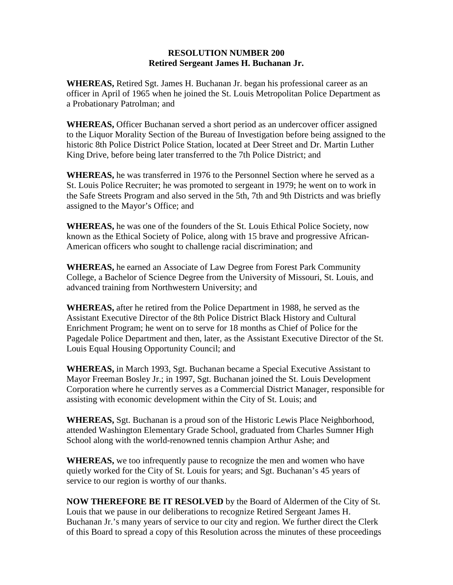## **RESOLUTION NUMBER 200 Retired Sergeant James H. Buchanan Jr.**

**WHEREAS,** Retired Sgt. James H. Buchanan Jr. began his professional career as an officer in April of 1965 when he joined the St. Louis Metropolitan Police Department as a Probationary Patrolman; and

**WHEREAS,** Officer Buchanan served a short period as an undercover officer assigned to the Liquor Morality Section of the Bureau of Investigation before being assigned to the historic 8th Police District Police Station, located at Deer Street and Dr. Martin Luther King Drive, before being later transferred to the 7th Police District; and

**WHEREAS,** he was transferred in 1976 to the Personnel Section where he served as a St. Louis Police Recruiter; he was promoted to sergeant in 1979; he went on to work in the Safe Streets Program and also served in the 5th, 7th and 9th Districts and was briefly assigned to the Mayor's Office; and

**WHEREAS,** he was one of the founders of the St. Louis Ethical Police Society, now known as the Ethical Society of Police, along with 15 brave and progressive African-American officers who sought to challenge racial discrimination; and

**WHEREAS,** he earned an Associate of Law Degree from Forest Park Community College, a Bachelor of Science Degree from the University of Missouri, St. Louis, and advanced training from Northwestern University; and

**WHEREAS,** after he retired from the Police Department in 1988, he served as the Assistant Executive Director of the 8th Police District Black History and Cultural Enrichment Program; he went on to serve for 18 months as Chief of Police for the Pagedale Police Department and then, later, as the Assistant Executive Director of the St. Louis Equal Housing Opportunity Council; and

**WHEREAS,** in March 1993, Sgt. Buchanan became a Special Executive Assistant to Mayor Freeman Bosley Jr.; in 1997, Sgt. Buchanan joined the St. Louis Development Corporation where he currently serves as a Commercial District Manager, responsible for assisting with economic development within the City of St. Louis; and

**WHEREAS,** Sgt. Buchanan is a proud son of the Historic Lewis Place Neighborhood, attended Washington Elementary Grade School, graduated from Charles Sumner High School along with the world-renowned tennis champion Arthur Ashe; and

**WHEREAS,** we too infrequently pause to recognize the men and women who have quietly worked for the City of St. Louis for years; and Sgt. Buchanan's 45 years of service to our region is worthy of our thanks.

**NOW THEREFORE BE IT RESOLVED** by the Board of Aldermen of the City of St. Louis that we pause in our deliberations to recognize Retired Sergeant James H. Buchanan Jr.'s many years of service to our city and region. We further direct the Clerk of this Board to spread a copy of this Resolution across the minutes of these proceedings